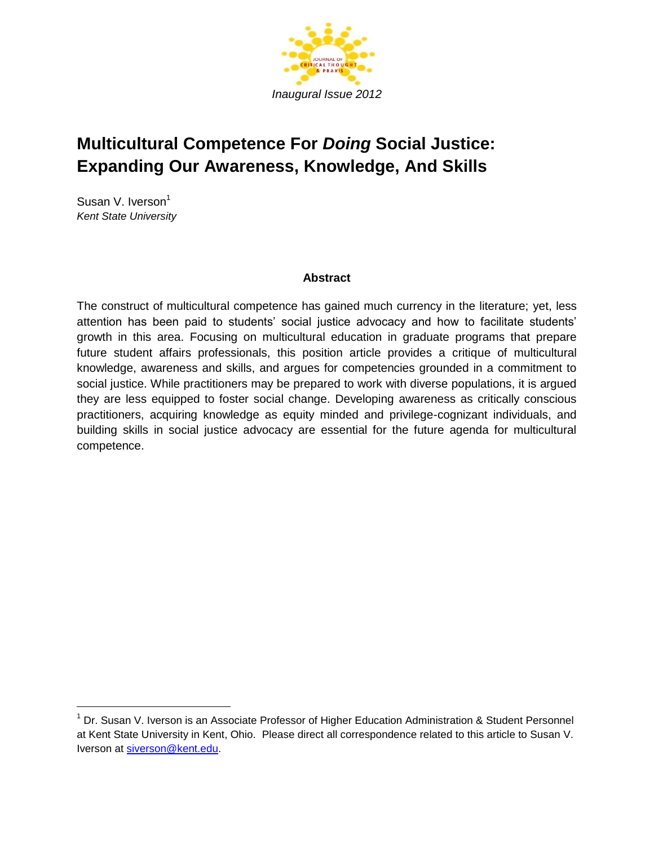

# **Multicultural Competence For** *Doing* **Social Justice: Expanding Our Awareness, Knowledge, And Skills**

Susan V. Iverson<sup>1</sup> *Kent State University*

## **Abstract**

The construct of multicultural competence has gained much currency in the literature; yet, less attention has been paid to students' social justice advocacy and how to facilitate students' growth in this area. Focusing on multicultural education in graduate programs that prepare future student affairs professionals, this position article provides a critique of multicultural knowledge, awareness and skills, and argues for competencies grounded in a commitment to social justice. While practitioners may be prepared to work with diverse populations, it is argued they are less equipped to foster social change. Developing awareness as critically conscious practitioners, acquiring knowledge as equity minded and privilege-cognizant individuals, and building skills in social justice advocacy are essential for the future agenda for multicultural competence.

<sup>&</sup>lt;sup>1</sup> Dr. Susan V. Iverson is an Associate Professor of Higher Education Administration & Student Personnel at Kent State University in Kent, Ohio. Please direct all correspondence related to this article to Susan V. Iverson at [siverson@kent.edu.](mailto:siverson@kent.edu)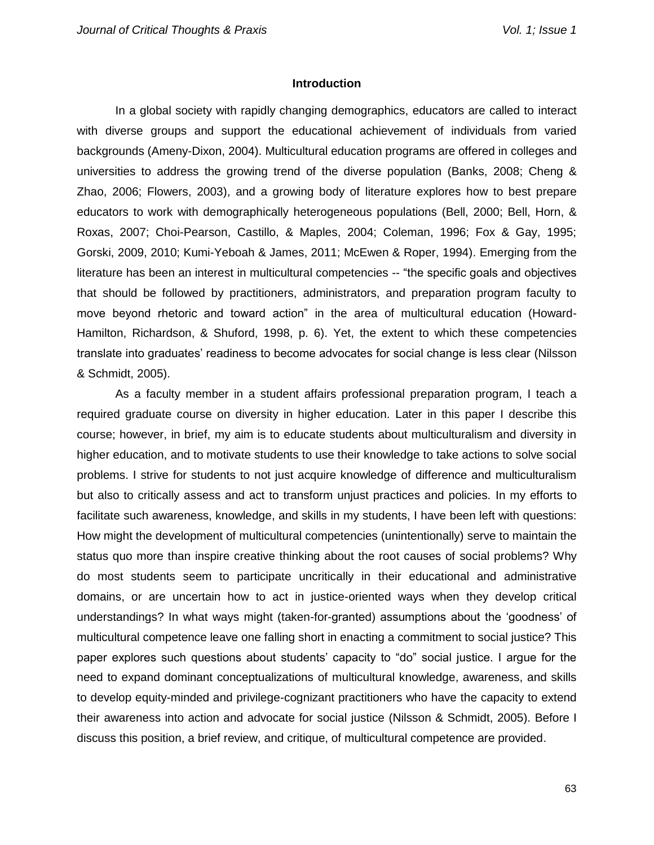#### **Introduction**

In a global society with rapidly changing demographics, educators are called to interact with diverse groups and support the educational achievement of individuals from varied backgrounds (Ameny-Dixon, 2004). Multicultural education programs are offered in colleges and universities to address the growing trend of the diverse population (Banks, 2008; Cheng & Zhao, 2006; Flowers, 2003), and a growing body of literature explores how to best prepare educators to work with demographically heterogeneous populations (Bell, 2000; Bell, Horn, & Roxas, 2007; Choi-Pearson, Castillo, & Maples, 2004; Coleman, 1996; Fox & Gay, 1995; Gorski, 2009, 2010; Kumi-Yeboah & James, 2011; McEwen & Roper, 1994). Emerging from the literature has been an interest in multicultural competencies -- "the specific goals and objectives that should be followed by practitioners, administrators, and preparation program faculty to move beyond rhetoric and toward action" in the area of multicultural education (Howard-Hamilton, Richardson, & Shuford, 1998, p. 6). Yet, the extent to which these competencies translate into graduates' readiness to become advocates for social change is less clear (Nilsson & Schmidt, 2005).

As a faculty member in a student affairs professional preparation program, I teach a required graduate course on diversity in higher education. Later in this paper I describe this course; however, in brief, my aim is to educate students about multiculturalism and diversity in higher education, and to motivate students to use their knowledge to take actions to solve social problems. I strive for students to not just acquire knowledge of difference and multiculturalism but also to critically assess and act to transform unjust practices and policies. In my efforts to facilitate such awareness, knowledge, and skills in my students, I have been left with questions: How might the development of multicultural competencies (unintentionally) serve to maintain the status quo more than inspire creative thinking about the root causes of social problems? Why do most students seem to participate uncritically in their educational and administrative domains, or are uncertain how to act in justice-oriented ways when they develop critical understandings? In what ways might (taken-for-granted) assumptions about the 'goodness' of multicultural competence leave one falling short in enacting a commitment to social justice? This paper explores such questions about students' capacity to "do" social justice. I argue for the need to expand dominant conceptualizations of multicultural knowledge, awareness, and skills to develop equity-minded and privilege-cognizant practitioners who have the capacity to extend their awareness into action and advocate for social justice (Nilsson & Schmidt, 2005). Before I discuss this position, a brief review, and critique, of multicultural competence are provided.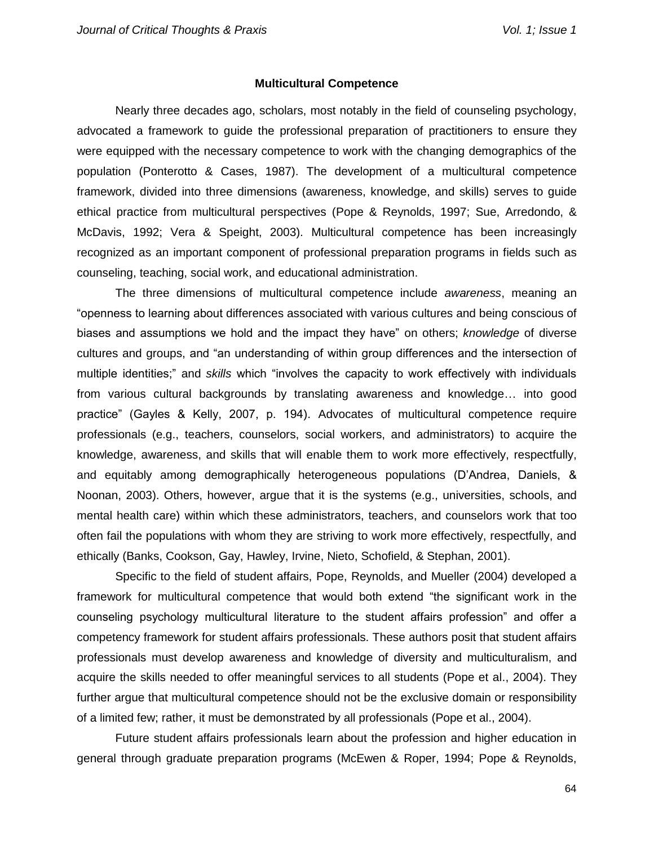#### **Multicultural Competence**

Nearly three decades ago, scholars, most notably in the field of counseling psychology, advocated a framework to guide the professional preparation of practitioners to ensure they were equipped with the necessary competence to work with the changing demographics of the population (Ponterotto & Cases, 1987). The development of a multicultural competence framework, divided into three dimensions (awareness, knowledge, and skills) serves to guide ethical practice from multicultural perspectives (Pope & Reynolds, 1997; Sue, Arredondo, & McDavis, 1992; Vera & Speight, 2003). Multicultural competence has been increasingly recognized as an important component of professional preparation programs in fields such as counseling, teaching, social work, and educational administration.

The three dimensions of multicultural competence include *awareness*, meaning an "openness to learning about differences associated with various cultures and being conscious of biases and assumptions we hold and the impact they have" on others; *knowledge* of diverse cultures and groups, and "an understanding of within group differences and the intersection of multiple identities;" and *skills* which "involves the capacity to work effectively with individuals from various cultural backgrounds by translating awareness and knowledge… into good practice" (Gayles & Kelly, 2007, p. 194). Advocates of multicultural competence require professionals (e.g., teachers, counselors, social workers, and administrators) to acquire the knowledge, awareness, and skills that will enable them to work more effectively, respectfully, and equitably among demographically heterogeneous populations (D'Andrea, Daniels, & Noonan, 2003). Others, however, argue that it is the systems (e.g., universities, schools, and mental health care) within which these administrators, teachers, and counselors work that too often fail the populations with whom they are striving to work more effectively, respectfully, and ethically (Banks, Cookson, Gay, Hawley, Irvine, Nieto, Schofield, & Stephan, 2001).

Specific to the field of student affairs, Pope, Reynolds, and Mueller (2004) developed a framework for multicultural competence that would both extend "the significant work in the counseling psychology multicultural literature to the student affairs profession" and offer a competency framework for student affairs professionals. These authors posit that student affairs professionals must develop awareness and knowledge of diversity and multiculturalism, and acquire the skills needed to offer meaningful services to all students (Pope et al., 2004). They further argue that multicultural competence should not be the exclusive domain or responsibility of a limited few; rather, it must be demonstrated by all professionals (Pope et al., 2004).

Future student affairs professionals learn about the profession and higher education in general through graduate preparation programs (McEwen & Roper, 1994; Pope & Reynolds,

64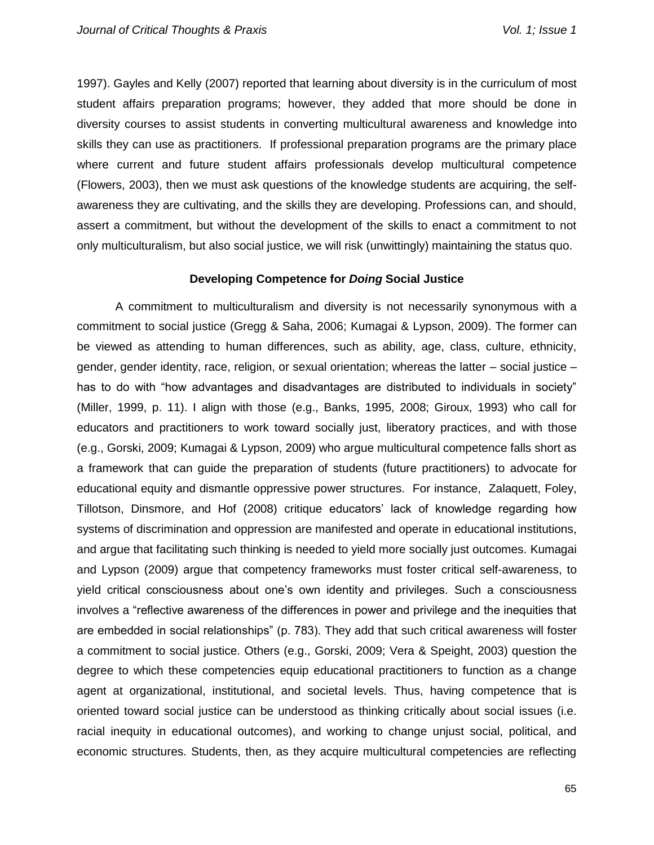1997). Gayles and Kelly (2007) reported that learning about diversity is in the curriculum of most student affairs preparation programs; however, they added that more should be done in diversity courses to assist students in converting multicultural awareness and knowledge into skills they can use as practitioners. If professional preparation programs are the primary place where current and future student affairs professionals develop multicultural competence (Flowers, 2003), then we must ask questions of the knowledge students are acquiring, the selfawareness they are cultivating, and the skills they are developing. Professions can, and should, assert a commitment, but without the development of the skills to enact a commitment to not only multiculturalism, but also social justice, we will risk (unwittingly) maintaining the status quo.

## **Developing Competence for** *Doing* **Social Justice**

A commitment to multiculturalism and diversity is not necessarily synonymous with a commitment to social justice (Gregg & Saha, 2006; Kumagai & Lypson, 2009). The former can be viewed as attending to human differences, such as ability, age, class, culture, ethnicity, gender, gender identity, race, religion, or sexual orientation; whereas the latter – social justice – has to do with "how advantages and disadvantages are distributed to individuals in society" (Miller, 1999, p. 11). I align with those (e.g., Banks, 1995, 2008; Giroux, 1993) who call for educators and practitioners to work toward socially just, liberatory practices, and with those (e.g., Gorski, 2009; Kumagai & Lypson, 2009) who argue multicultural competence falls short as a framework that can guide the preparation of students (future practitioners) to advocate for educational equity and dismantle oppressive power structures. For instance, Zalaquett, Foley, Tillotson, Dinsmore, and Hof (2008) critique educators' lack of knowledge regarding how systems of discrimination and oppression are manifested and operate in educational institutions, and argue that facilitating such thinking is needed to yield more socially just outcomes. Kumagai and Lypson (2009) argue that competency frameworks must foster critical self-awareness, to yield critical consciousness about one's own identity and privileges. Such a consciousness involves a "reflective awareness of the differences in power and privilege and the inequities that are embedded in social relationships" (p. 783). They add that such critical awareness will foster a commitment to social justice. Others (e.g., Gorski, 2009; Vera & Speight, 2003) question the degree to which these competencies equip educational practitioners to function as a change agent at organizational, institutional, and societal levels. Thus, having competence that is oriented toward social justice can be understood as thinking critically about social issues (i.e. racial inequity in educational outcomes), and working to change unjust social, political, and economic structures. Students, then, as they acquire multicultural competencies are reflecting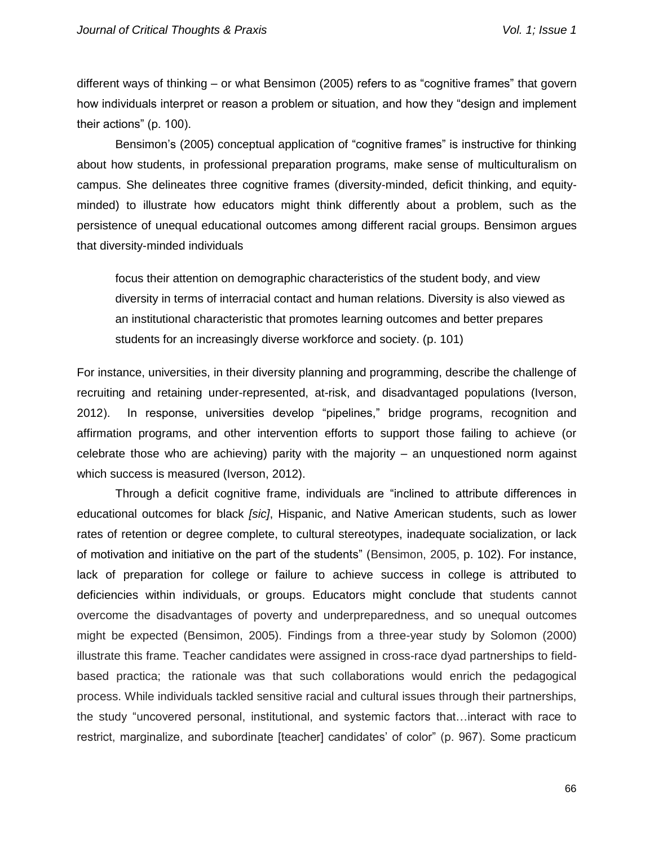different ways of thinking – or what Bensimon (2005) refers to as "cognitive frames" that govern how individuals interpret or reason a problem or situation, and how they "design and implement their actions" (p. 100).

Bensimon's (2005) conceptual application of "cognitive frames" is instructive for thinking about how students, in professional preparation programs, make sense of multiculturalism on campus. She delineates three cognitive frames (diversity-minded, deficit thinking, and equityminded) to illustrate how educators might think differently about a problem, such as the persistence of unequal educational outcomes among different racial groups. Bensimon argues that diversity-minded individuals

focus their attention on demographic characteristics of the student body, and view diversity in terms of interracial contact and human relations. Diversity is also viewed as an institutional characteristic that promotes learning outcomes and better prepares students for an increasingly diverse workforce and society. (p. 101)

For instance, universities, in their diversity planning and programming, describe the challenge of recruiting and retaining under-represented, at-risk, and disadvantaged populations (Iverson, 2012). In response, universities develop "pipelines," bridge programs, recognition and affirmation programs, and other intervention efforts to support those failing to achieve (or celebrate those who are achieving) parity with the majority – an unquestioned norm against which success is measured (Iverson, 2012).

Through a deficit cognitive frame, individuals are "inclined to attribute differences in educational outcomes for black *[sic]*, Hispanic, and Native American students, such as lower rates of retention or degree complete, to cultural stereotypes, inadequate socialization, or lack of motivation and initiative on the part of the students" (Bensimon, 2005, p. 102). For instance, lack of preparation for college or failure to achieve success in college is attributed to deficiencies within individuals, or groups. Educators might conclude that students cannot overcome the disadvantages of poverty and underpreparedness, and so unequal outcomes might be expected (Bensimon, 2005). Findings from a three-year study by Solomon (2000) illustrate this frame. Teacher candidates were assigned in cross-race dyad partnerships to fieldbased practica; the rationale was that such collaborations would enrich the pedagogical process. While individuals tackled sensitive racial and cultural issues through their partnerships, the study "uncovered personal, institutional, and systemic factors that…interact with race to restrict, marginalize, and subordinate [teacher] candidates' of color" (p. 967). Some practicum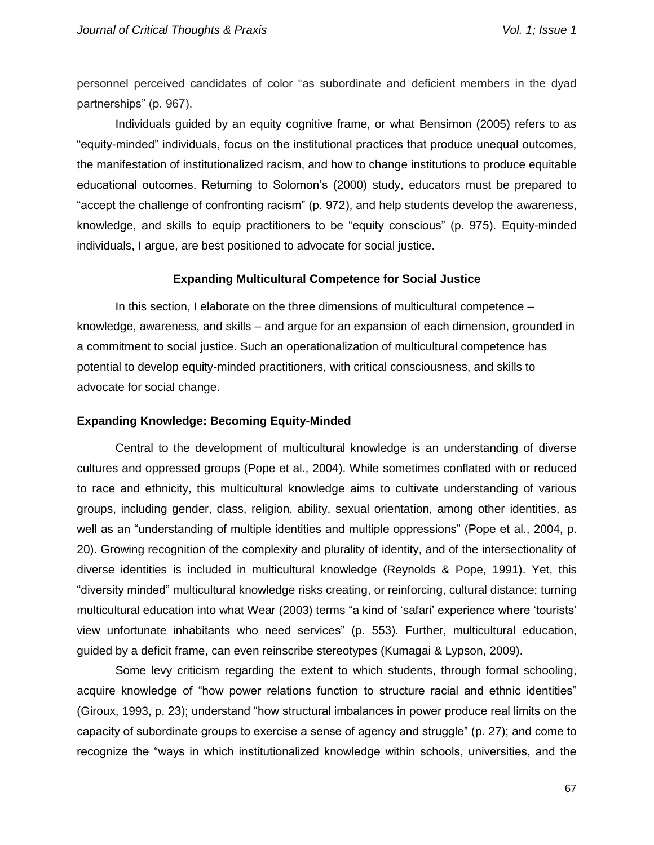personnel perceived candidates of color "as subordinate and deficient members in the dyad partnerships" (p. 967).

Individuals guided by an equity cognitive frame, or what Bensimon (2005) refers to as "equity-minded" individuals, focus on the institutional practices that produce unequal outcomes, the manifestation of institutionalized racism, and how to change institutions to produce equitable educational outcomes. Returning to Solomon's (2000) study, educators must be prepared to "accept the challenge of confronting racism" (p. 972), and help students develop the awareness, knowledge, and skills to equip practitioners to be "equity conscious" (p. 975). Equity-minded individuals, I argue, are best positioned to advocate for social justice.

## **Expanding Multicultural Competence for Social Justice**

In this section, I elaborate on the three dimensions of multicultural competence – knowledge, awareness, and skills – and argue for an expansion of each dimension, grounded in a commitment to social justice. Such an operationalization of multicultural competence has potential to develop equity-minded practitioners, with critical consciousness, and skills to advocate for social change.

#### **Expanding Knowledge: Becoming Equity-Minded**

Central to the development of multicultural knowledge is an understanding of diverse cultures and oppressed groups (Pope et al., 2004). While sometimes conflated with or reduced to race and ethnicity, this multicultural knowledge aims to cultivate understanding of various groups, including gender, class, religion, ability, sexual orientation, among other identities, as well as an "understanding of multiple identities and multiple oppressions" (Pope et al., 2004, p. 20). Growing recognition of the complexity and plurality of identity, and of the intersectionality of diverse identities is included in multicultural knowledge (Reynolds & Pope, 1991). Yet, this "diversity minded" multicultural knowledge risks creating, or reinforcing, cultural distance; turning multicultural education into what Wear (2003) terms "a kind of 'safari' experience where 'tourists' view unfortunate inhabitants who need services" (p. 553). Further, multicultural education, guided by a deficit frame, can even reinscribe stereotypes (Kumagai & Lypson, 2009).

Some levy criticism regarding the extent to which students, through formal schooling, acquire knowledge of "how power relations function to structure racial and ethnic identities" (Giroux, 1993, p. 23); understand "how structural imbalances in power produce real limits on the capacity of subordinate groups to exercise a sense of agency and struggle" (p. 27); and come to recognize the "ways in which institutionalized knowledge within schools, universities, and the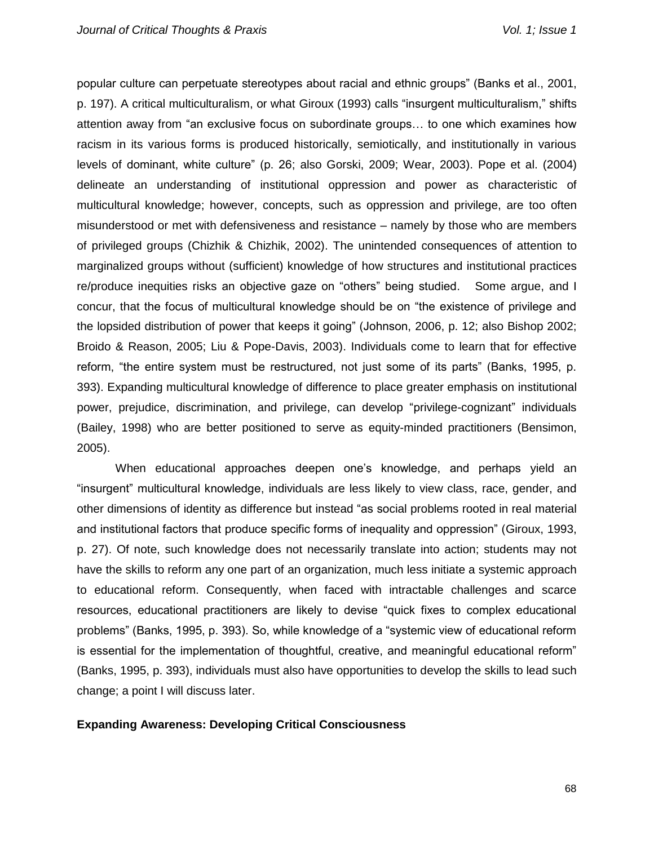popular culture can perpetuate stereotypes about racial and ethnic groups" (Banks et al., 2001, p. 197). A critical multiculturalism, or what Giroux (1993) calls "insurgent multiculturalism," shifts attention away from "an exclusive focus on subordinate groups… to one which examines how racism in its various forms is produced historically, semiotically, and institutionally in various levels of dominant, white culture" (p. 26; also Gorski, 2009; Wear, 2003). Pope et al. (2004) delineate an understanding of institutional oppression and power as characteristic of multicultural knowledge; however, concepts, such as oppression and privilege, are too often misunderstood or met with defensiveness and resistance – namely by those who are members of privileged groups (Chizhik & Chizhik, 2002). The unintended consequences of attention to marginalized groups without (sufficient) knowledge of how structures and institutional practices re/produce inequities risks an objective gaze on "others" being studied. Some argue, and I concur, that the focus of multicultural knowledge should be on "the existence of privilege and the lopsided distribution of power that keeps it going" (Johnson, 2006, p. 12; also Bishop 2002; Broido & Reason, 2005; Liu & Pope-Davis, 2003). Individuals come to learn that for effective reform, "the entire system must be restructured, not just some of its parts" (Banks, 1995, p. 393). Expanding multicultural knowledge of difference to place greater emphasis on institutional power, prejudice, discrimination, and privilege, can develop "privilege-cognizant" individuals (Bailey, 1998) who are better positioned to serve as equity-minded practitioners (Bensimon, 2005).

When educational approaches deepen one's knowledge, and perhaps yield an "insurgent" multicultural knowledge, individuals are less likely to view class, race, gender, and other dimensions of identity as difference but instead "as social problems rooted in real material and institutional factors that produce specific forms of inequality and oppression" (Giroux, 1993, p. 27). Of note, such knowledge does not necessarily translate into action; students may not have the skills to reform any one part of an organization, much less initiate a systemic approach to educational reform. Consequently, when faced with intractable challenges and scarce resources, educational practitioners are likely to devise "quick fixes to complex educational problems" (Banks, 1995, p. 393). So, while knowledge of a "systemic view of educational reform is essential for the implementation of thoughtful, creative, and meaningful educational reform" (Banks, 1995, p. 393), individuals must also have opportunities to develop the skills to lead such change; a point I will discuss later.

## **Expanding Awareness: Developing Critical Consciousness**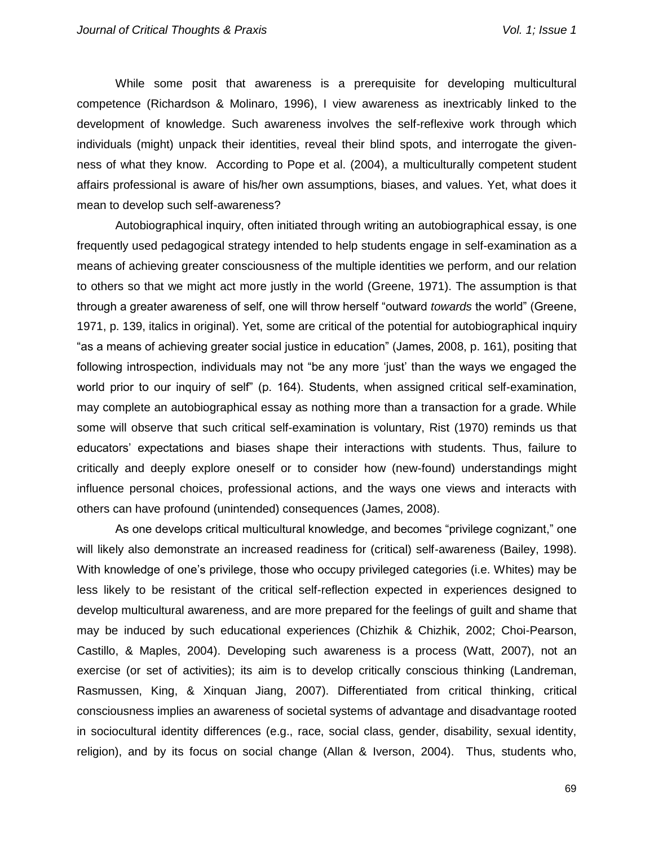While some posit that awareness is a prerequisite for developing multicultural competence (Richardson & Molinaro, 1996), I view awareness as inextricably linked to the development of knowledge. Such awareness involves the self-reflexive work through which individuals (might) unpack their identities, reveal their blind spots, and interrogate the givenness of what they know. According to Pope et al. (2004), a multiculturally competent student affairs professional is aware of his/her own assumptions, biases, and values. Yet, what does it mean to develop such self-awareness?

Autobiographical inquiry, often initiated through writing an autobiographical essay, is one frequently used pedagogical strategy intended to help students engage in self-examination as a means of achieving greater consciousness of the multiple identities we perform, and our relation to others so that we might act more justly in the world (Greene, 1971). The assumption is that through a greater awareness of self, one will throw herself "outward *towards* the world" (Greene, 1971, p. 139, italics in original). Yet, some are critical of the potential for autobiographical inquiry "as a means of achieving greater social justice in education" (James, 2008, p. 161), positing that following introspection, individuals may not "be any more 'just' than the ways we engaged the world prior to our inquiry of self" (p. 164). Students, when assigned critical self-examination, may complete an autobiographical essay as nothing more than a transaction for a grade. While some will observe that such critical self-examination is voluntary, Rist (1970) reminds us that educators' expectations and biases shape their interactions with students. Thus, failure to critically and deeply explore oneself or to consider how (new-found) understandings might influence personal choices, professional actions, and the ways one views and interacts with others can have profound (unintended) consequences (James, 2008).

As one develops critical multicultural knowledge, and becomes "privilege cognizant," one will likely also demonstrate an increased readiness for (critical) self-awareness (Bailey, 1998). With knowledge of one's privilege, those who occupy privileged categories (i.e. Whites) may be less likely to be resistant of the critical self-reflection expected in experiences designed to develop multicultural awareness, and are more prepared for the feelings of guilt and shame that may be induced by such educational experiences (Chizhik & Chizhik, 2002; Choi-Pearson, Castillo, & Maples, 2004). Developing such awareness is a process (Watt, 2007), not an exercise (or set of activities); its aim is to develop critically conscious thinking (Landreman, Rasmussen, King, & Xinquan Jiang, 2007). Differentiated from critical thinking, critical consciousness implies an awareness of societal systems of advantage and disadvantage rooted in sociocultural identity differences (e.g., race, social class, gender, disability, sexual identity, religion), and by its focus on social change (Allan & Iverson, 2004). Thus, students who,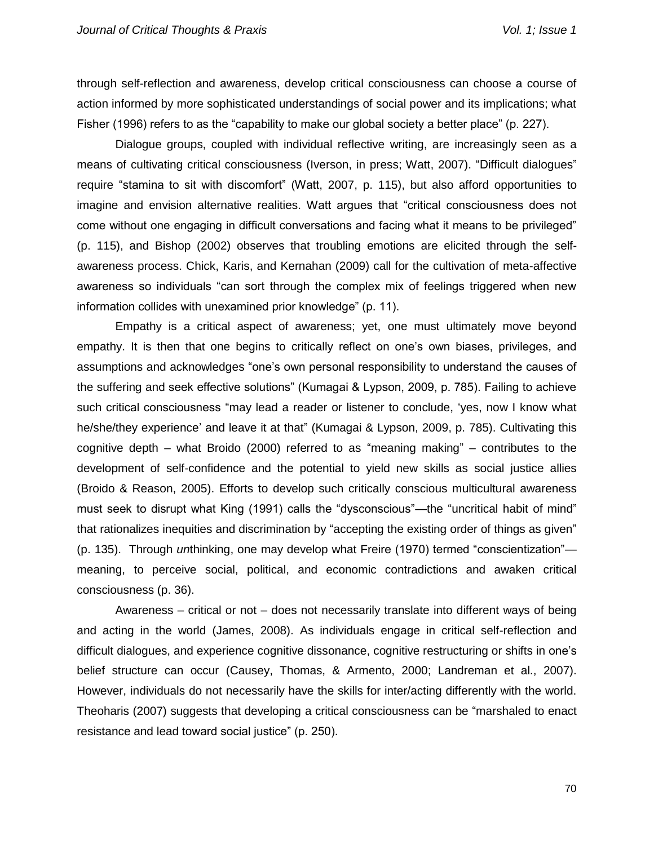through self-reflection and awareness, develop critical consciousness can choose a course of action informed by more sophisticated understandings of social power and its implications; what Fisher (1996) refers to as the "capability to make our global society a better place" (p. 227).

Dialogue groups, coupled with individual reflective writing, are increasingly seen as a means of cultivating critical consciousness (Iverson, in press; Watt, 2007). "Difficult dialogues" require "stamina to sit with discomfort" (Watt, 2007, p. 115), but also afford opportunities to imagine and envision alternative realities. Watt argues that "critical consciousness does not come without one engaging in difficult conversations and facing what it means to be privileged" (p. 115), and Bishop (2002) observes that troubling emotions are elicited through the selfawareness process. Chick, Karis, and Kernahan (2009) call for the cultivation of meta-affective awareness so individuals "can sort through the complex mix of feelings triggered when new information collides with unexamined prior knowledge" (p. 11).

Empathy is a critical aspect of awareness; yet, one must ultimately move beyond empathy. It is then that one begins to critically reflect on one's own biases, privileges, and assumptions and acknowledges "one's own personal responsibility to understand the causes of the suffering and seek effective solutions" (Kumagai & Lypson, 2009, p. 785). Failing to achieve such critical consciousness "may lead a reader or listener to conclude, 'yes, now I know what he/she/they experience' and leave it at that" (Kumagai & Lypson, 2009, p. 785). Cultivating this cognitive depth – what Broido (2000) referred to as "meaning making" – contributes to the development of self-confidence and the potential to yield new skills as social justice allies (Broido & Reason, 2005). Efforts to develop such critically conscious multicultural awareness must seek to disrupt what King (1991) calls the "dysconscious"—the "uncritical habit of mind" that rationalizes inequities and discrimination by "accepting the existing order of things as given" (p. 135). Through *un*thinking, one may develop what Freire (1970) termed "conscientization" meaning, to perceive social, political, and economic contradictions and awaken critical consciousness (p. 36).

Awareness – critical or not – does not necessarily translate into different ways of being and acting in the world (James, 2008). As individuals engage in critical self-reflection and difficult dialogues, and experience cognitive dissonance, cognitive restructuring or shifts in one's belief structure can occur (Causey, Thomas, & Armento, 2000; Landreman et al., 2007). However, individuals do not necessarily have the skills for inter/acting differently with the world. Theoharis (2007) suggests that developing a critical consciousness can be "marshaled to enact resistance and lead toward social justice" (p. 250).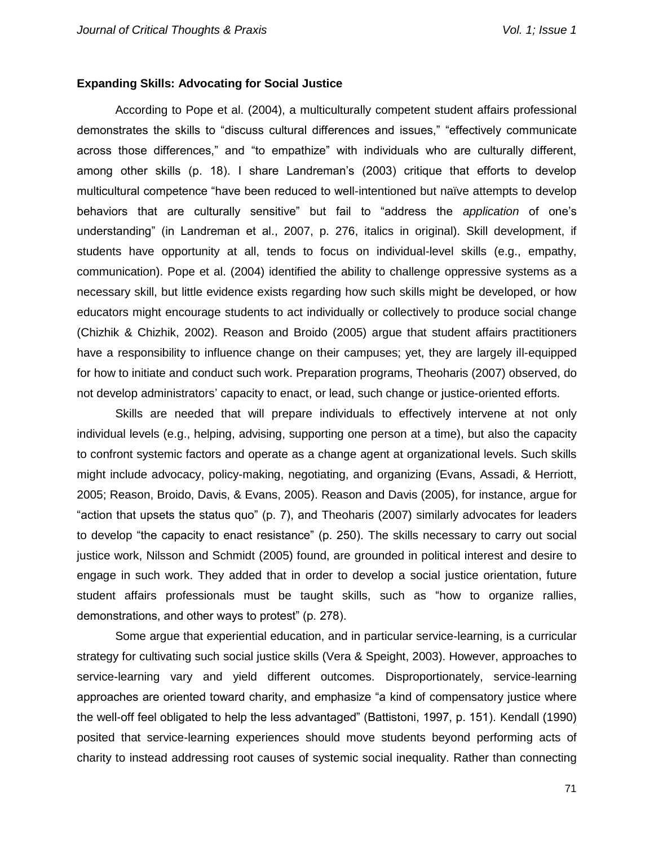## **Expanding Skills: Advocating for Social Justice**

According to Pope et al. (2004), a multiculturally competent student affairs professional demonstrates the skills to "discuss cultural differences and issues," "effectively communicate across those differences," and "to empathize" with individuals who are culturally different, among other skills (p. 18). I share Landreman's (2003) critique that efforts to develop multicultural competence "have been reduced to well-intentioned but naïve attempts to develop behaviors that are culturally sensitive" but fail to "address the *application* of one's understanding" (in Landreman et al., 2007, p. 276, italics in original). Skill development, if students have opportunity at all, tends to focus on individual-level skills (e.g., empathy, communication). Pope et al. (2004) identified the ability to challenge oppressive systems as a necessary skill, but little evidence exists regarding how such skills might be developed, or how educators might encourage students to act individually or collectively to produce social change (Chizhik & Chizhik, 2002). Reason and Broido (2005) argue that student affairs practitioners have a responsibility to influence change on their campuses; yet, they are largely ill-equipped for how to initiate and conduct such work. Preparation programs, Theoharis (2007) observed, do not develop administrators' capacity to enact, or lead, such change or justice-oriented efforts.

Skills are needed that will prepare individuals to effectively intervene at not only individual levels (e.g., helping, advising, supporting one person at a time), but also the capacity to confront systemic factors and operate as a change agent at organizational levels. Such skills might include advocacy, policy-making, negotiating, and organizing (Evans, Assadi, & Herriott, 2005; Reason, Broido, Davis, & Evans, 2005). Reason and Davis (2005), for instance, argue for "action that upsets the status quo" (p. 7), and Theoharis (2007) similarly advocates for leaders to develop "the capacity to enact resistance" (p. 250). The skills necessary to carry out social justice work, Nilsson and Schmidt (2005) found, are grounded in political interest and desire to engage in such work. They added that in order to develop a social justice orientation, future student affairs professionals must be taught skills, such as "how to organize rallies, demonstrations, and other ways to protest" (p. 278).

Some argue that experiential education, and in particular service-learning, is a curricular strategy for cultivating such social justice skills (Vera & Speight, 2003). However, approaches to service-learning vary and yield different outcomes. Disproportionately, service-learning approaches are oriented toward charity, and emphasize "a kind of compensatory justice where the well-off feel obligated to help the less advantaged" (Battistoni, 1997, p. 151). Kendall (1990) posited that service-learning experiences should move students beyond performing acts of charity to instead addressing root causes of systemic social inequality. Rather than connecting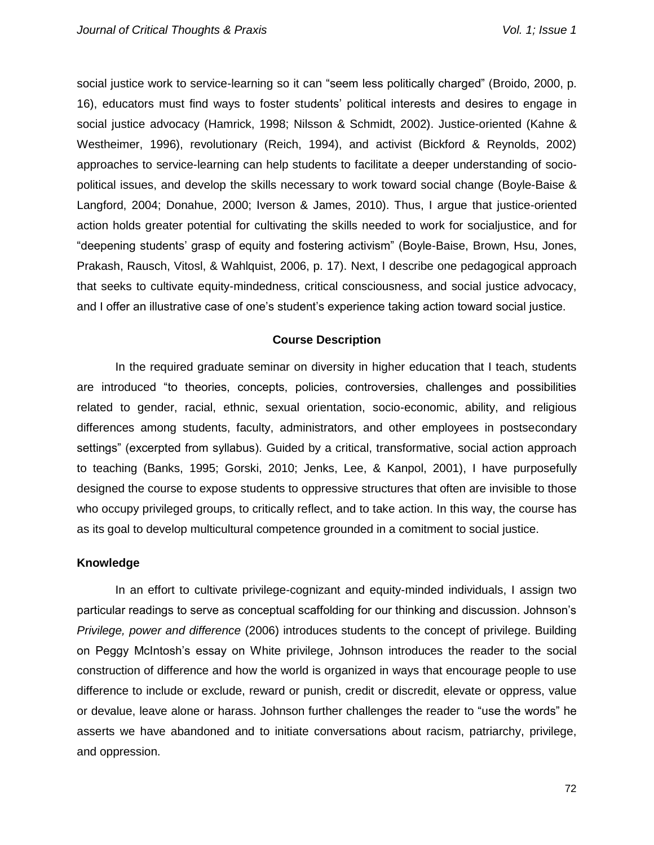social justice work to service-learning so it can "seem less politically charged" (Broido, 2000, p. 16), educators must find ways to foster students' political interests and desires to engage in social justice advocacy (Hamrick, 1998; Nilsson & Schmidt, 2002). Justice-oriented (Kahne & Westheimer, 1996), revolutionary (Reich, 1994), and activist (Bickford & Reynolds, 2002) approaches to service-learning can help students to facilitate a deeper understanding of sociopolitical issues, and develop the skills necessary to work toward social change (Boyle-Baise & Langford, 2004; Donahue, 2000; Iverson & James, 2010). Thus, I argue that justice-oriented action holds greater potential for cultivating the skills needed to work for socialjustice, and for "deepening students' grasp of equity and fostering activism" (Boyle-Baise, Brown, Hsu, Jones, Prakash, Rausch, Vitosl, & Wahlquist, 2006, p. 17). Next, I describe one pedagogical approach that seeks to cultivate equity-mindedness, critical consciousness, and social justice advocacy, and I offer an illustrative case of one's student's experience taking action toward social justice.

## **Course Description**

In the required graduate seminar on diversity in higher education that I teach, students are introduced "to theories, concepts, policies, controversies, challenges and possibilities related to gender, racial, ethnic, sexual orientation, socio-economic, ability, and religious differences among students, faculty, administrators, and other employees in postsecondary settings" (excerpted from syllabus). Guided by a critical, transformative, social action approach to teaching (Banks, 1995; Gorski, 2010; Jenks, Lee, & Kanpol, 2001), I have purposefully designed the course to expose students to oppressive structures that often are invisible to those who occupy privileged groups, to critically reflect, and to take action. In this way, the course has as its goal to develop multicultural competence grounded in a comitment to social justice.

## **Knowledge**

In an effort to cultivate privilege-cognizant and equity-minded individuals, I assign two particular readings to serve as conceptual scaffolding for our thinking and discussion. Johnson's *Privilege, power and difference* (2006) introduces students to the concept of privilege. Building on Peggy McIntosh's essay on White privilege, Johnson introduces the reader to the social construction of difference and how the world is organized in ways that encourage people to use difference to include or exclude, reward or punish, credit or discredit, elevate or oppress, value or devalue, leave alone or harass. Johnson further challenges the reader to "use the words" he asserts we have abandoned and to initiate conversations about racism, patriarchy, privilege, and oppression.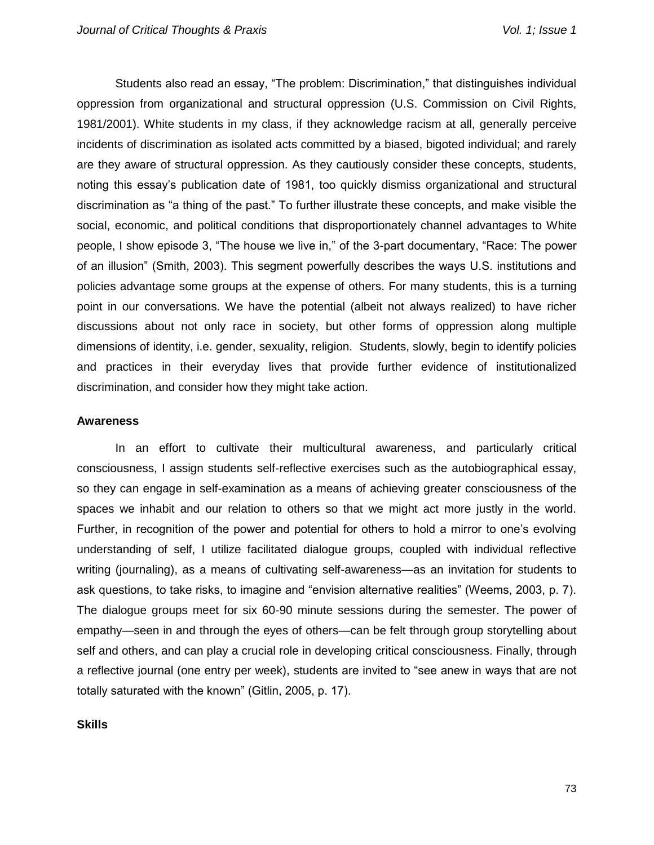Students also read an essay, "The problem: Discrimination," that distinguishes individual oppression from organizational and structural oppression (U.S. Commission on Civil Rights, 1981/2001). White students in my class, if they acknowledge racism at all, generally perceive incidents of discrimination as isolated acts committed by a biased, bigoted individual; and rarely are they aware of structural oppression. As they cautiously consider these concepts, students, noting this essay's publication date of 1981, too quickly dismiss organizational and structural discrimination as "a thing of the past." To further illustrate these concepts, and make visible the social, economic, and political conditions that disproportionately channel advantages to White people, I show episode 3, "The house we live in," of the 3-part documentary, "Race: The power of an illusion" (Smith, 2003). This segment powerfully describes the ways U.S. institutions and policies advantage some groups at the expense of others. For many students, this is a turning point in our conversations. We have the potential (albeit not always realized) to have richer discussions about not only race in society, but other forms of oppression along multiple dimensions of identity, i.e. gender, sexuality, religion. Students, slowly, begin to identify policies and practices in their everyday lives that provide further evidence of institutionalized discrimination, and consider how they might take action.

#### **Awareness**

In an effort to cultivate their multicultural awareness, and particularly critical consciousness, I assign students self-reflective exercises such as the autobiographical essay, so they can engage in self-examination as a means of achieving greater consciousness of the spaces we inhabit and our relation to others so that we might act more justly in the world. Further, in recognition of the power and potential for others to hold a mirror to one's evolving understanding of self, I utilize facilitated dialogue groups, coupled with individual reflective writing (journaling), as a means of cultivating self-awareness—as an invitation for students to ask questions, to take risks, to imagine and "envision alternative realities" (Weems, 2003, p. 7). The dialogue groups meet for six 60-90 minute sessions during the semester. The power of empathy—seen in and through the eyes of others—can be felt through group storytelling about self and others, and can play a crucial role in developing critical consciousness. Finally, through a reflective journal (one entry per week), students are invited to "see anew in ways that are not totally saturated with the known" (Gitlin, 2005, p. 17).

**Skills**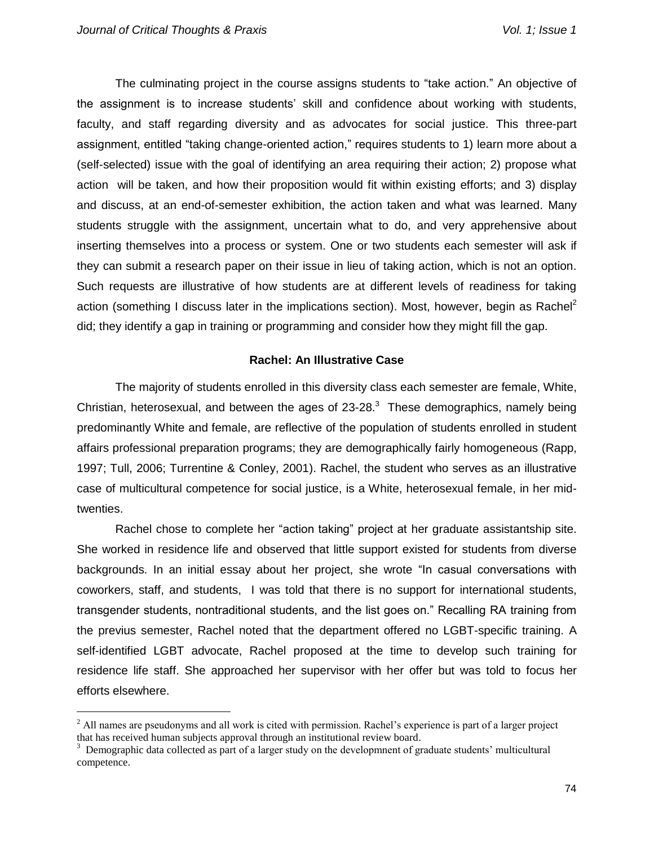The culminating project in the course assigns students to "take action." An objective of the assignment is to increase students' skill and confidence about working with students, faculty, and staff regarding diversity and as advocates for social justice. This three-part assignment, entitled "taking change-oriented action," requires students to 1) learn more about a (self-selected) issue with the goal of identifying an area requiring their action; 2) propose what action will be taken, and how their proposition would fit within existing efforts; and 3) display and discuss, at an end-of-semester exhibition, the action taken and what was learned. Many students struggle with the assignment, uncertain what to do, and very apprehensive about inserting themselves into a process or system. One or two students each semester will ask if they can submit a research paper on their issue in lieu of taking action, which is not an option. Such requests are illustrative of how students are at different levels of readiness for taking action (something I discuss later in the implications section). Most, however, begin as Rachel<sup>2</sup> did; they identify a gap in training or programming and consider how they might fill the gap.

## **Rachel: An Illustrative Case**

The majority of students enrolled in this diversity class each semester are female, White, Christian, heterosexual, and between the ages of  $23-28$ <sup>3</sup>. These demographics, namely being predominantly White and female, are reflective of the population of students enrolled in student affairs professional preparation programs; they are demographically fairly homogeneous (Rapp, 1997; Tull, 2006; Turrentine & Conley, 2001). Rachel, the student who serves as an illustrative case of multicultural competence for social justice, is a White, heterosexual female, in her midtwenties.

Rachel chose to complete her "action taking" project at her graduate assistantship site. She worked in residence life and observed that little support existed for students from diverse backgrounds. In an initial essay about her project, she wrote "In casual conversations with coworkers, staff, and students, I was told that there is no support for international students, transgender students, nontraditional students, and the list goes on." Recalling RA training from the previus semester, Rachel noted that the department offered no LGBT-specific training. A self-identified LGBT advocate, Rachel proposed at the time to develop such training for residence life staff. She approached her supervisor with her offer but was told to focus her efforts elsewhere.

 $<sup>2</sup>$  All names are pseudonyms and all work is cited with permission. Rachel's experience is part of a larger project</sup> that has received human subjects approval through an institutional review board.

<sup>&</sup>lt;sup>3</sup> Demographic data collected as part of a larger study on the developmnent of graduate students' multicultural competence.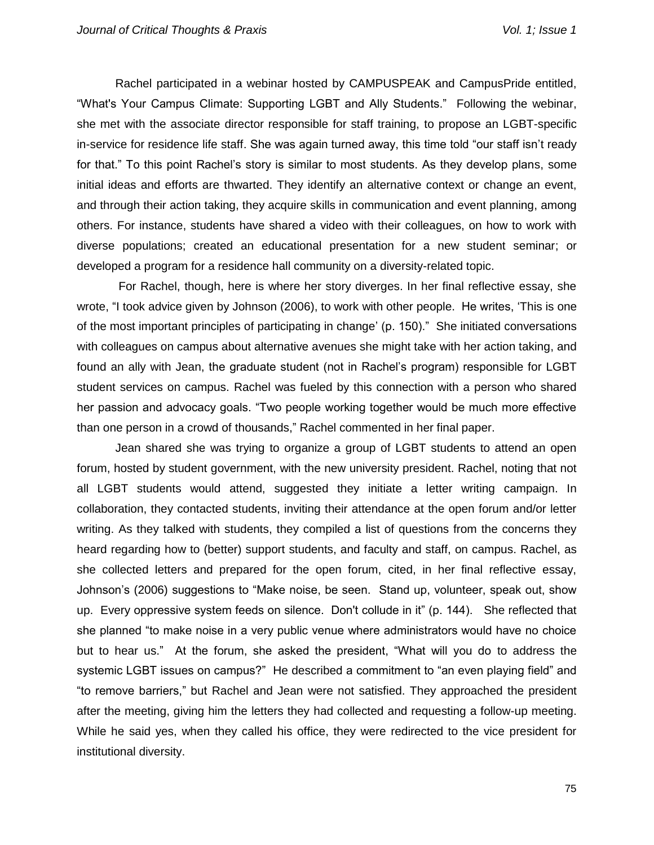Rachel participated in a webinar hosted by CAMPUSPEAK and CampusPride entitled, "What's Your Campus Climate: Supporting LGBT and Ally Students." Following the webinar, she met with the associate director responsible for staff training, to propose an LGBT-specific in-service for residence life staff. She was again turned away, this time told "our staff isn't ready for that." To this point Rachel's story is similar to most students. As they develop plans, some initial ideas and efforts are thwarted. They identify an alternative context or change an event, and through their action taking, they acquire skills in communication and event planning, among others. For instance, students have shared a video with their colleagues, on how to work with diverse populations; created an educational presentation for a new student seminar; or developed a program for a residence hall community on a diversity-related topic.

For Rachel, though, here is where her story diverges. In her final reflective essay, she wrote, "I took advice given by Johnson (2006), to work with other people. He writes, 'This is one of the most important principles of participating in change' (p. 150)." She initiated conversations with colleagues on campus about alternative avenues she might take with her action taking, and found an ally with Jean, the graduate student (not in Rachel's program) responsible for LGBT student services on campus. Rachel was fueled by this connection with a person who shared her passion and advocacy goals. "Two people working together would be much more effective than one person in a crowd of thousands," Rachel commented in her final paper.

Jean shared she was trying to organize a group of LGBT students to attend an open forum, hosted by student government, with the new university president. Rachel, noting that not all LGBT students would attend, suggested they initiate a letter writing campaign. In collaboration, they contacted students, inviting their attendance at the open forum and/or letter writing. As they talked with students, they compiled a list of questions from the concerns they heard regarding how to (better) support students, and faculty and staff, on campus. Rachel, as she collected letters and prepared for the open forum, cited, in her final reflective essay, Johnson's (2006) suggestions to "Make noise, be seen. Stand up, volunteer, speak out, show up. Every oppressive system feeds on silence. Don't collude in it" (p. 144). She reflected that she planned "to make noise in a very public venue where administrators would have no choice but to hear us." At the forum, she asked the president, "What will you do to address the systemic LGBT issues on campus?" He described a commitment to "an even playing field" and "to remove barriers," but Rachel and Jean were not satisfied. They approached the president after the meeting, giving him the letters they had collected and requesting a follow-up meeting. While he said yes, when they called his office, they were redirected to the vice president for institutional diversity.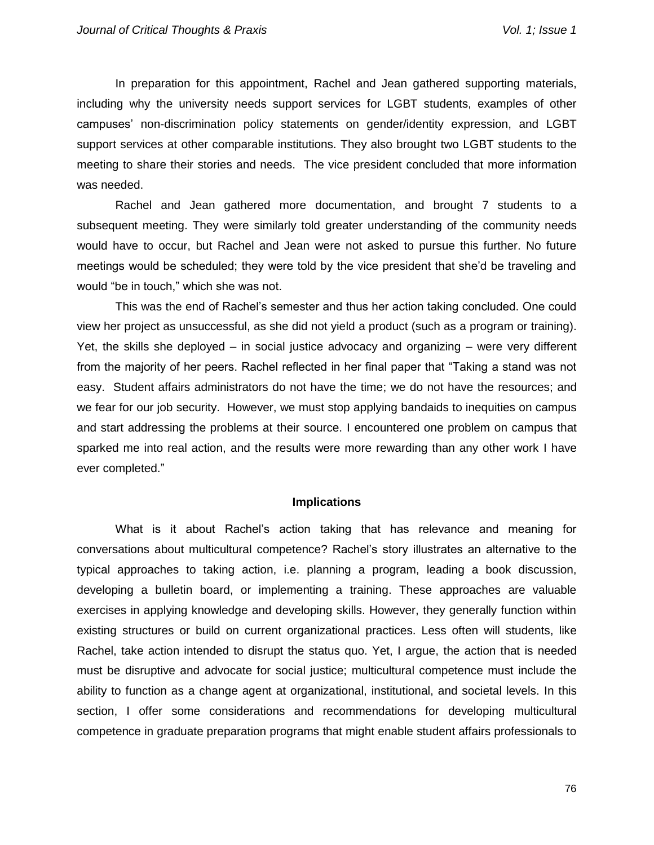In preparation for this appointment, Rachel and Jean gathered supporting materials, including why the university needs support services for LGBT students, examples of other campuses' non-discrimination policy statements on gender/identity expression, and LGBT support services at other comparable institutions. They also brought two LGBT students to the meeting to share their stories and needs. The vice president concluded that more information was needed.

Rachel and Jean gathered more documentation, and brought 7 students to a subsequent meeting. They were similarly told greater understanding of the community needs would have to occur, but Rachel and Jean were not asked to pursue this further. No future meetings would be scheduled; they were told by the vice president that she'd be traveling and would "be in touch," which she was not.

This was the end of Rachel's semester and thus her action taking concluded. One could view her project as unsuccessful, as she did not yield a product (such as a program or training). Yet, the skills she deployed – in social justice advocacy and organizing – were very different from the majority of her peers. Rachel reflected in her final paper that "Taking a stand was not easy. Student affairs administrators do not have the time; we do not have the resources; and we fear for our job security. However, we must stop applying bandaids to inequities on campus and start addressing the problems at their source. I encountered one problem on campus that sparked me into real action, and the results were more rewarding than any other work I have ever completed."

#### **Implications**

What is it about Rachel's action taking that has relevance and meaning for conversations about multicultural competence? Rachel's story illustrates an alternative to the typical approaches to taking action, i.e. planning a program, leading a book discussion, developing a bulletin board, or implementing a training. These approaches are valuable exercises in applying knowledge and developing skills. However, they generally function within existing structures or build on current organizational practices. Less often will students, like Rachel, take action intended to disrupt the status quo. Yet, I argue, the action that is needed must be disruptive and advocate for social justice; multicultural competence must include the ability to function as a change agent at organizational, institutional, and societal levels. In this section, I offer some considerations and recommendations for developing multicultural competence in graduate preparation programs that might enable student affairs professionals to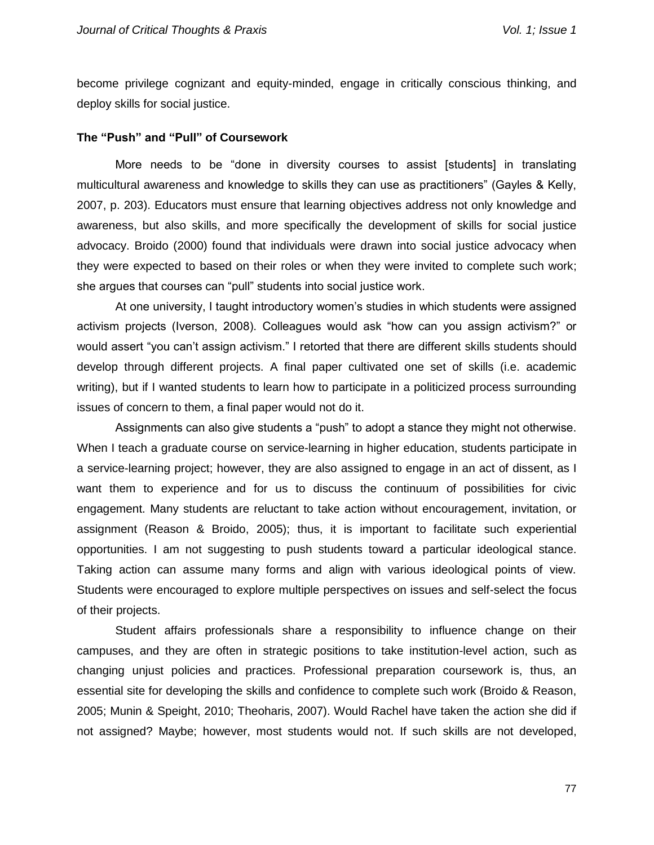become privilege cognizant and equity-minded, engage in critically conscious thinking, and deploy skills for social justice.

#### **The "Push" and "Pull" of Coursework**

More needs to be "done in diversity courses to assist [students] in translating multicultural awareness and knowledge to skills they can use as practitioners" (Gayles & Kelly, 2007, p. 203). Educators must ensure that learning objectives address not only knowledge and awareness, but also skills, and more specifically the development of skills for social justice advocacy. Broido (2000) found that individuals were drawn into social justice advocacy when they were expected to based on their roles or when they were invited to complete such work; she argues that courses can "pull" students into social justice work.

At one university, I taught introductory women's studies in which students were assigned activism projects (Iverson, 2008). Colleagues would ask "how can you assign activism?" or would assert "you can't assign activism." I retorted that there are different skills students should develop through different projects. A final paper cultivated one set of skills (i.e. academic writing), but if I wanted students to learn how to participate in a politicized process surrounding issues of concern to them, a final paper would not do it.

Assignments can also give students a "push" to adopt a stance they might not otherwise. When I teach a graduate course on service-learning in higher education, students participate in a service-learning project; however, they are also assigned to engage in an act of dissent, as I want them to experience and for us to discuss the continuum of possibilities for civic engagement. Many students are reluctant to take action without encouragement, invitation, or assignment (Reason & Broido, 2005); thus, it is important to facilitate such experiential opportunities. I am not suggesting to push students toward a particular ideological stance. Taking action can assume many forms and align with various ideological points of view. Students were encouraged to explore multiple perspectives on issues and self-select the focus of their projects.

Student affairs professionals share a responsibility to influence change on their campuses, and they are often in strategic positions to take institution-level action, such as changing unjust policies and practices. Professional preparation coursework is, thus, an essential site for developing the skills and confidence to complete such work (Broido & Reason, 2005; Munin & Speight, 2010; Theoharis, 2007). Would Rachel have taken the action she did if not assigned? Maybe; however, most students would not. If such skills are not developed,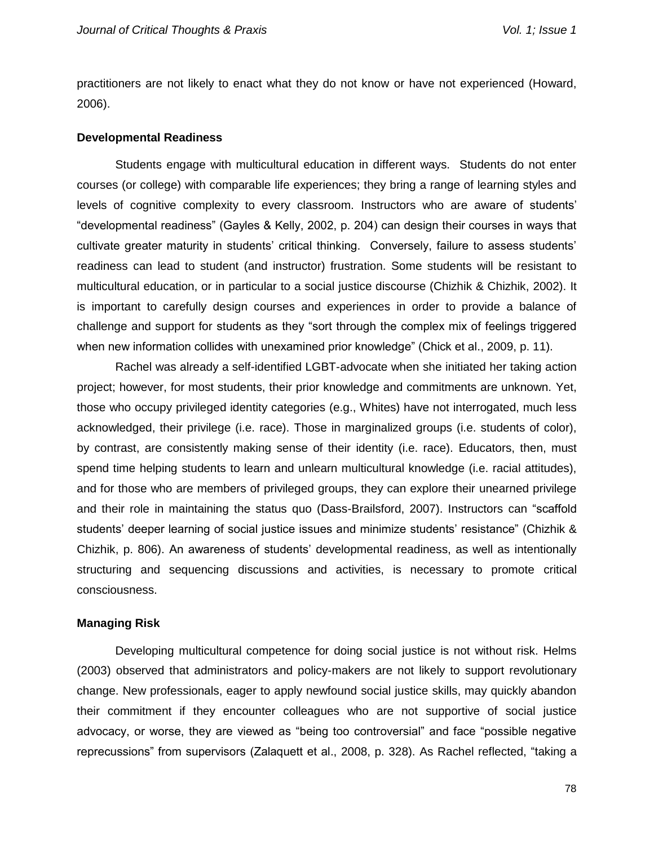practitioners are not likely to enact what they do not know or have not experienced (Howard, 2006).

#### **Developmental Readiness**

Students engage with multicultural education in different ways. Students do not enter courses (or college) with comparable life experiences; they bring a range of learning styles and levels of cognitive complexity to every classroom. Instructors who are aware of students' "developmental readiness" (Gayles & Kelly, 2002, p. 204) can design their courses in ways that cultivate greater maturity in students' critical thinking. Conversely, failure to assess students' readiness can lead to student (and instructor) frustration. Some students will be resistant to multicultural education, or in particular to a social justice discourse (Chizhik & Chizhik, 2002). It is important to carefully design courses and experiences in order to provide a balance of challenge and support for students as they "sort through the complex mix of feelings triggered when new information collides with unexamined prior knowledge" (Chick et al., 2009, p. 11).

Rachel was already a self-identified LGBT-advocate when she initiated her taking action project; however, for most students, their prior knowledge and commitments are unknown. Yet, those who occupy privileged identity categories (e.g., Whites) have not interrogated, much less acknowledged, their privilege (i.e. race). Those in marginalized groups (i.e. students of color), by contrast, are consistently making sense of their identity (i.e. race). Educators, then, must spend time helping students to learn and unlearn multicultural knowledge (i.e. racial attitudes), and for those who are members of privileged groups, they can explore their unearned privilege and their role in maintaining the status quo (Dass-Brailsford, 2007). Instructors can "scaffold students' deeper learning of social justice issues and minimize students' resistance" (Chizhik & Chizhik, p. 806). An awareness of students' developmental readiness, as well as intentionally structuring and sequencing discussions and activities, is necessary to promote critical consciousness.

#### **Managing Risk**

Developing multicultural competence for doing social justice is not without risk. Helms (2003) observed that administrators and policy-makers are not likely to support revolutionary change. New professionals, eager to apply newfound social justice skills, may quickly abandon their commitment if they encounter colleagues who are not supportive of social justice advocacy, or worse, they are viewed as "being too controversial" and face "possible negative reprecussions" from supervisors (Zalaquett et al., 2008, p. 328). As Rachel reflected, "taking a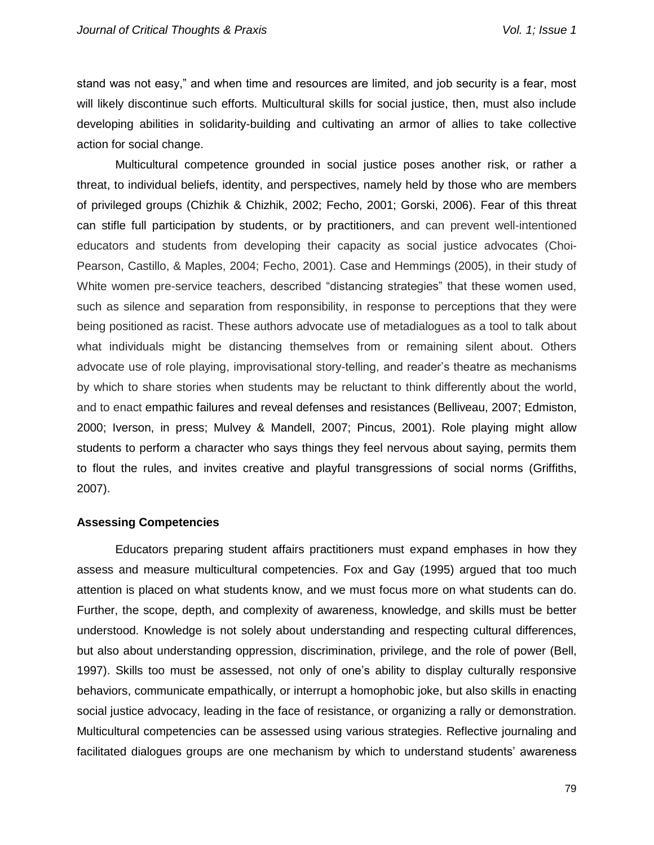stand was not easy," and when time and resources are limited, and job security is a fear, most will likely discontinue such efforts. Multicultural skills for social justice, then, must also include developing abilities in solidarity-building and cultivating an armor of allies to take collective action for social change.

Multicultural competence grounded in social justice poses another risk, or rather a threat, to individual beliefs, identity, and perspectives, namely held by those who are members of privileged groups (Chizhik & Chizhik, 2002; Fecho, 2001; Gorski, 2006). Fear of this threat can stifle full participation by students, or by practitioners, and can prevent well-intentioned educators and students from developing their capacity as social justice advocates (Choi-Pearson, Castillo, & Maples, 2004; Fecho, 2001). Case and Hemmings (2005), in their study of White women pre-service teachers, described "distancing strategies" that these women used, such as silence and separation from responsibility, in response to perceptions that they were being positioned as racist. These authors advocate use of metadialogues as a tool to talk about what individuals might be distancing themselves from or remaining silent about. Others advocate use of role playing, improvisational story-telling, and reader's theatre as mechanisms by which to share stories when students may be reluctant to think differently about the world, and to enact empathic failures and reveal defenses and resistances (Belliveau, 2007; Edmiston, 2000; Iverson, in press; Mulvey & Mandell, 2007; Pincus, 2001). Role playing might allow students to perform a character who says things they feel nervous about saying, permits them to flout the rules, and invites creative and playful transgressions of social norms (Griffiths, 2007).

## **Assessing Competencies**

Educators preparing student affairs practitioners must expand emphases in how they assess and measure multicultural competencies. Fox and Gay (1995) argued that too much attention is placed on what students know, and we must focus more on what students can do. Further, the scope, depth, and complexity of awareness, knowledge, and skills must be better understood. Knowledge is not solely about understanding and respecting cultural differences, but also about understanding oppression, discrimination, privilege, and the role of power (Bell, 1997). Skills too must be assessed, not only of one's ability to display culturally responsive behaviors, communicate empathically, or interrupt a homophobic joke, but also skills in enacting social justice advocacy, leading in the face of resistance, or organizing a rally or demonstration. Multicultural competencies can be assessed using various strategies. Reflective journaling and facilitated dialogues groups are one mechanism by which to understand students' awareness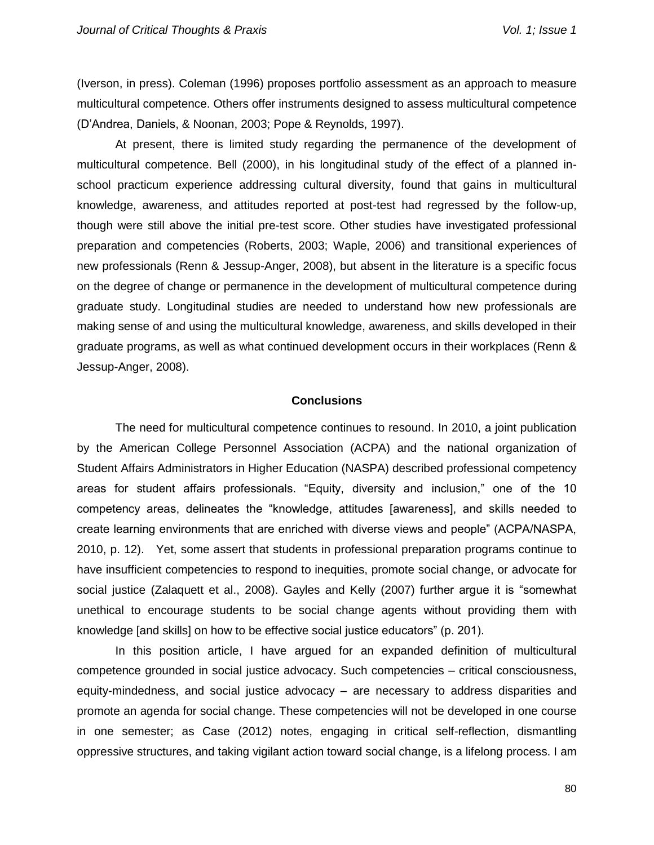(Iverson, in press). Coleman (1996) proposes portfolio assessment as an approach to measure multicultural competence. Others offer instruments designed to assess multicultural competence (D'Andrea, Daniels, & Noonan, 2003; Pope & Reynolds, 1997).

At present, there is limited study regarding the permanence of the development of multicultural competence. Bell (2000), in his longitudinal study of the effect of a planned inschool practicum experience addressing cultural diversity, found that gains in multicultural knowledge, awareness, and attitudes reported at post-test had regressed by the follow-up, though were still above the initial pre-test score. Other studies have investigated professional preparation and competencies (Roberts, 2003; Waple, 2006) and transitional experiences of new professionals (Renn & Jessup-Anger, 2008), but absent in the literature is a specific focus on the degree of change or permanence in the development of multicultural competence during graduate study. Longitudinal studies are needed to understand how new professionals are making sense of and using the multicultural knowledge, awareness, and skills developed in their graduate programs, as well as what continued development occurs in their workplaces (Renn & Jessup-Anger, 2008).

## **Conclusions**

The need for multicultural competence continues to resound. In 2010, a joint publication by the American College Personnel Association (ACPA) and the national organization of Student Affairs Administrators in Higher Education (NASPA) described professional competency areas for student affairs professionals. "Equity, diversity and inclusion," one of the 10 competency areas, delineates the "knowledge, attitudes [awareness], and skills needed to create learning environments that are enriched with diverse views and people" (ACPA/NASPA, 2010, p. 12). Yet, some assert that students in professional preparation programs continue to have insufficient competencies to respond to inequities, promote social change, or advocate for social justice (Zalaquett et al., 2008). Gayles and Kelly (2007) further argue it is "somewhat unethical to encourage students to be social change agents without providing them with knowledge [and skills] on how to be effective social justice educators" (p. 201).

In this position article, I have argued for an expanded definition of multicultural competence grounded in social justice advocacy. Such competencies – critical consciousness, equity-mindedness, and social justice advocacy – are necessary to address disparities and promote an agenda for social change. These competencies will not be developed in one course in one semester; as Case (2012) notes, engaging in critical self-reflection, dismantling oppressive structures, and taking vigilant action toward social change, is a lifelong process. I am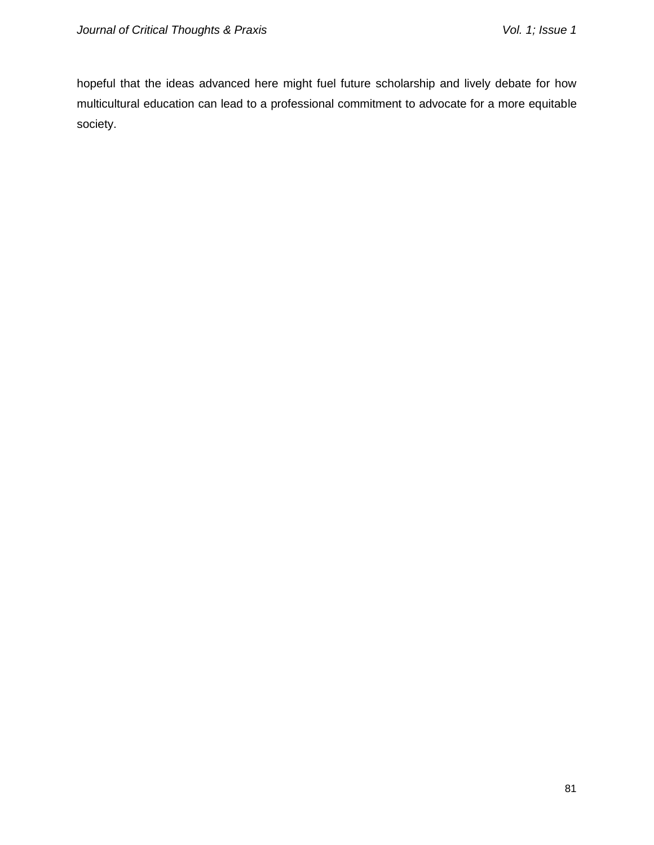hopeful that the ideas advanced here might fuel future scholarship and lively debate for how multicultural education can lead to a professional commitment to advocate for a more equitable society.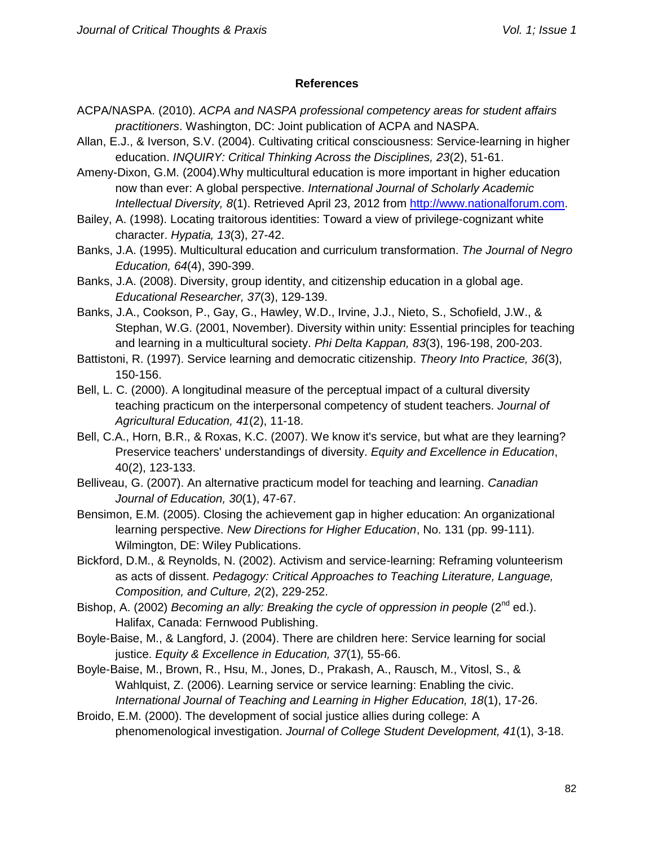## **References**

- ACPA/NASPA. (2010). *ACPA and NASPA professional competency areas for student affairs practitioners*. Washington, DC: Joint publication of ACPA and NASPA.
- Allan, E.J., & Iverson, S.V. (2004). Cultivating critical consciousness: Service-learning in higher education. *INQUIRY: Critical Thinking Across the Disciplines, 23*(2), 51-61.
- Ameny-Dixon, G.M. (2004).Why multicultural education is more important in higher education now than ever: A global perspective. *International Journal of Scholarly Academic Intellectual Diversity, 8*(1). Retrieved April 23, 2012 from [http://www.nationalforum.com.](http://www.nationalforum.com/)
- Bailey, A. (1998). Locating traitorous identities: Toward a view of privilege-cognizant white character. *Hypatia, 13*(3), 27-42.
- Banks, J.A. (1995). Multicultural education and curriculum transformation. *The Journal of Negro Education, 64*(4), 390-399.
- Banks, J.A. (2008). Diversity, group identity, and citizenship education in a global age. *Educational Researcher, 37*(3), 129-139.
- Banks, J.A., Cookson, P., Gay, G., Hawley, W.D., Irvine, J.J., Nieto, S., Schofield, J.W., & Stephan, W.G. (2001, November). Diversity within unity: Essential principles for teaching and learning in a multicultural society. *Phi Delta Kappan, 83*(3), 196-198, 200-203.
- Battistoni, R. (1997). Service learning and democratic citizenship. *Theory Into Practice, 36*(3), 150-156.
- Bell, L. C. (2000). A longitudinal measure of the perceptual impact of a cultural diversity teaching practicum on the interpersonal competency of student teachers. *Journal of Agricultural Education, 41*(2), 11-18.
- Bell, C.A., Horn, B.R., & Roxas, K.C. (2007). We know it's service, but what are they learning? Preservice teachers' understandings of diversity. *Equity and Excellence in Education*, 40(2), 123-133.
- Belliveau, G. (2007). An alternative practicum model for teaching and learning. *Canadian Journal of Education, 30*(1), 47-67.
- Bensimon, E.M. (2005). Closing the achievement gap in higher education: An organizational learning perspective. *New Directions for Higher Education*, No. 131 (pp. 99-111). Wilmington, DE: Wiley Publications.
- Bickford, D.M., & Reynolds, N. (2002). Activism and service-learning: Reframing volunteerism as acts of dissent. *Pedagogy: Critical Approaches to Teaching Literature, Language, Composition, and Culture, 2*(2), 229-252.
- Bishop, A. (2002) *Becoming an ally: Breaking the cycle of oppression in people* (2<sup>nd</sup> ed.). Halifax, Canada: Fernwood Publishing.
- Boyle-Baise, M., & Langford, J. (2004). There are children here: Service learning for social justice. *Equity & Excellence in Education, 37*(1)*,* 55-66.
- Boyle-Baise, M., Brown, R., Hsu, M., Jones, D., Prakash, A., Rausch, M., Vitosl, S., & Wahlquist, Z. (2006). Learning service or service learning: Enabling the civic. *International Journal of Teaching and Learning in Higher Education, 18*(1), 17-26.
- Broido, E.M. (2000). The development of social justice allies during college: A phenomenological investigation. *Journal of College Student Development, 41*(1), 3-18.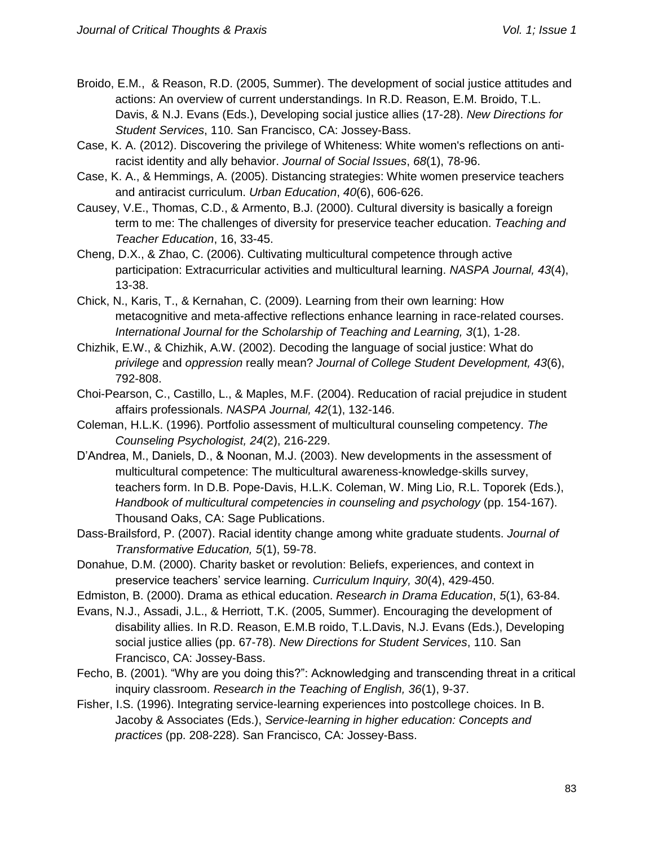- Broido, E.M., & Reason, R.D. (2005, Summer). The development of social justice attitudes and actions: An overview of current understandings. In R.D. Reason, E.M. Broido, T.L. Davis, & N.J. Evans (Eds.), Developing social justice allies (17-28). *New Directions for Student Services*, 110. San Francisco, CA: Jossey-Bass.
- Case, K. A. (2012). Discovering the privilege of Whiteness: White women's reflections on antiracist identity and ally behavior. *Journal of Social Issues*, *68*(1), 78-96.
- Case, K. A., & Hemmings, A. (2005). Distancing strategies: White women preservice teachers and antiracist curriculum. *Urban Education*, *40*(6), 606-626.
- Causey, V.E., Thomas, C.D., & Armento, B.J. (2000). Cultural diversity is basically a foreign term to me: The challenges of diversity for preservice teacher education. *Teaching and Teacher Education*, 16, 33-45.
- Cheng, D.X., & Zhao, C. (2006). Cultivating multicultural competence through active participation: Extracurricular activities and multicultural learning. *NASPA Journal, 43*(4), 13-38.
- Chick, N., Karis, T., & Kernahan, C. (2009). Learning from their own learning: How metacognitive and meta-affective reflections enhance learning in race-related courses. *International Journal for the Scholarship of Teaching and Learning, 3*(1), 1-28.
- Chizhik, E.W., & Chizhik, A.W. (2002). Decoding the language of social justice: What do *privilege* and *oppression* really mean? *Journal of College Student Development, 43*(6), 792-808.
- Choi-Pearson, C., Castillo, L., & Maples, M.F. (2004). Reducation of racial prejudice in student affairs professionals. *NASPA Journal, 42*(1), 132-146.
- Coleman, H.L.K. (1996). Portfolio assessment of multicultural counseling competency. *The Counseling Psychologist, 24*(2), 216-229.
- D'Andrea, M., Daniels, D., & Noonan, M.J. (2003). New developments in the assessment of multicultural competence: The multicultural awareness-knowledge-skills survey, teachers form. In D.B. Pope-Davis, H.L.K. Coleman, W. Ming Lio, R.L. Toporek (Eds.), *Handbook of multicultural competencies in counseling and psychology* (pp. 154-167). Thousand Oaks, CA: Sage Publications.
- Dass-Brailsford, P. (2007). Racial identity change among white graduate students. *Journal of Transformative Education, 5*(1), 59-78.
- Donahue, D.M. (2000). Charity basket or revolution: Beliefs, experiences, and context in preservice teachers' service learning. *Curriculum Inquiry, 30*(4), 429-450.
- Edmiston, B. (2000). Drama as ethical education. *Research in Drama Education*, *5*(1), 63-84.
- Evans, N.J., Assadi, J.L., & Herriott, T.K. (2005, Summer). Encouraging the development of disability allies. In R.D. Reason, E.M.B roido, T.L.Davis, N.J. Evans (Eds.), Developing social justice allies (pp. 67-78). *New Directions for Student Services*, 110. San Francisco, CA: Jossey-Bass.
- Fecho, B. (2001). "Why are you doing this?": Acknowledging and transcending threat in a critical inquiry classroom. *Research in the Teaching of English, 36*(1), 9-37.
- Fisher, I.S. (1996). Integrating service-learning experiences into postcollege choices. In B. Jacoby & Associates (Eds.), *Service-learning in higher education: Concepts and practices* (pp. 208-228). San Francisco, CA: Jossey-Bass.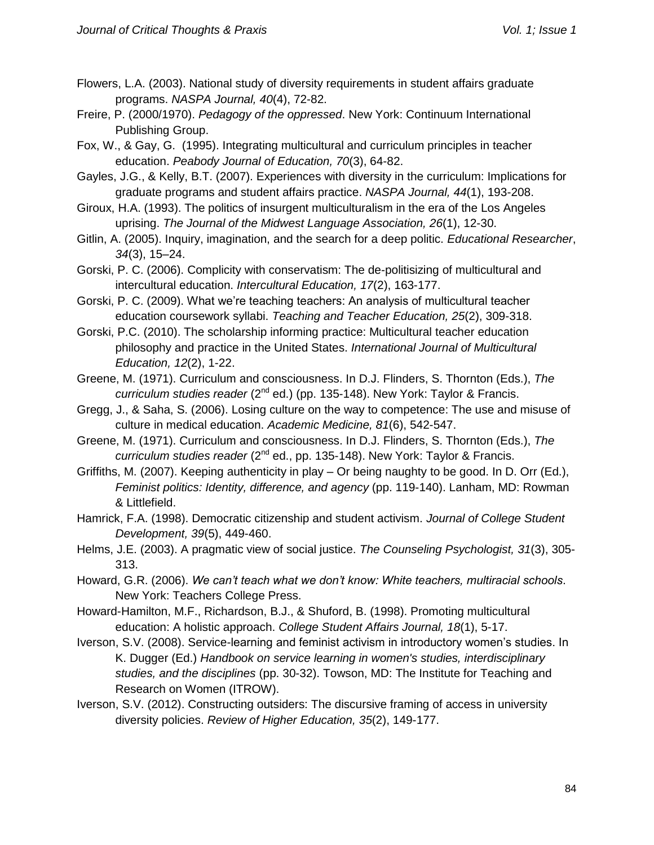- Flowers, L.A. (2003). National study of diversity requirements in student affairs graduate programs. *NASPA Journal, 40*(4), 72-82.
- Freire, P. (2000/1970). *Pedagogy of the oppressed*. New York: Continuum International Publishing Group.
- Fox, W., & Gay, G. (1995). Integrating multicultural and curriculum principles in teacher education. *Peabody Journal of Education, 70*(3), 64-82.
- Gayles, J.G., & Kelly, B.T. (2007). Experiences with diversity in the curriculum: Implications for graduate programs and student affairs practice. *NASPA Journal, 44*(1), 193-208.
- Giroux, H.A. (1993). The politics of insurgent multiculturalism in the era of the Los Angeles uprising. *The Journal of the Midwest Language Association, 26*(1), 12-30.
- Gitlin, A. (2005). Inquiry, imagination, and the search for a deep politic. *Educational Researcher*, *34*(3), 15–24.
- Gorski, P. C. (2006). Complicity with conservatism: The de-politisizing of multicultural and intercultural education. *Intercultural Education, 17*(2), 163-177.
- Gorski, P. C. (2009). What we're teaching teachers: An analysis of multicultural teacher education coursework syllabi. *Teaching and Teacher Education, 25*(2), 309-318.
- Gorski, P.C. (2010). The scholarship informing practice: Multicultural teacher education philosophy and practice in the United States. *International Journal of Multicultural Education, 12*(2), 1-22.
- Greene, M. (1971). Curriculum and consciousness. In D.J. Flinders, S. Thornton (Eds.), *The*  curriculum studies reader (2<sup>nd</sup> ed.) (pp. 135-148). New York: Taylor & Francis.
- Gregg, J., & Saha, S. (2006). Losing culture on the way to competence: The use and misuse of culture in medical education. *Academic Medicine, 81*(6), 542-547.
- Greene, M. (1971). Curriculum and consciousness. In D.J. Flinders, S. Thornton (Eds.), *The*  curriculum studies reader (2<sup>nd</sup> ed., pp. 135-148). New York: Taylor & Francis.
- Griffiths, M. (2007). Keeping authenticity in play Or being naughty to be good. In D. Orr (Ed.), *Feminist politics: Identity, difference, and agency* (pp. 119-140). Lanham, MD: Rowman & Littlefield.
- Hamrick, F.A. (1998). Democratic citizenship and student activism. *Journal of College Student Development, 39*(5), 449-460.
- Helms, J.E. (2003). A pragmatic view of social justice. *The Counseling Psychologist, 31*(3), 305- 313.
- Howard, G.R. (2006). *We can't teach what we don't know: White teachers, multiracial schools*. New York: Teachers College Press.
- Howard-Hamilton, M.F., Richardson, B.J., & Shuford, B. (1998). Promoting multicultural education: A holistic approach. *College Student Affairs Journal, 18*(1), 5-17.
- Iverson, S.V. (2008). Service-learning and feminist activism in introductory women's studies. In K. Dugger (Ed.) *Handbook on service learning in women's studies, interdisciplinary studies, and the disciplines* (pp. 30-32). Towson, MD: The Institute for Teaching and Research on Women (ITROW).
- Iverson, S.V. (2012). Constructing outsiders: The discursive framing of access in university diversity policies. *Review of Higher Education, 35*(2), 149-177.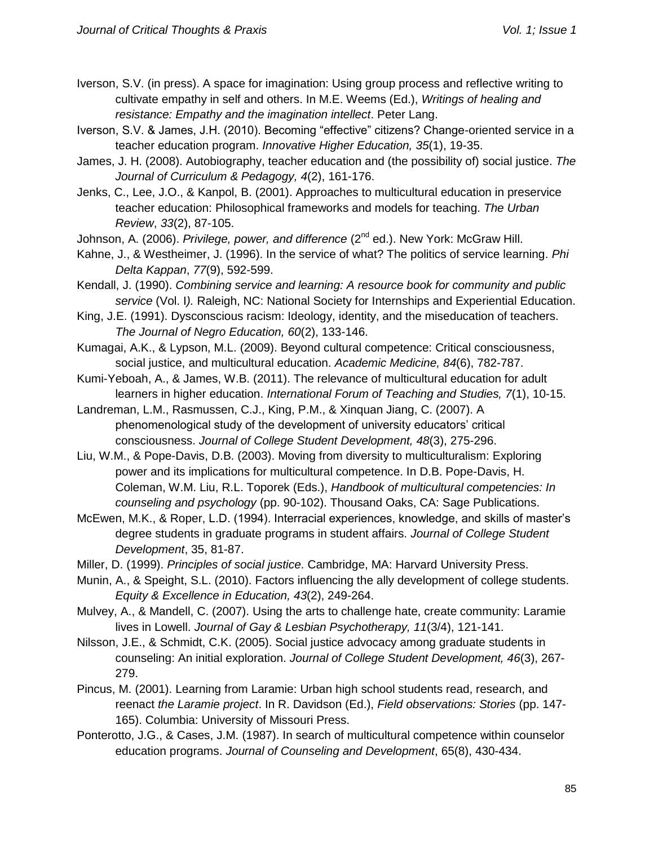- Iverson, S.V. (in press). A space for imagination: Using group process and reflective writing to cultivate empathy in self and others. In M.E. Weems (Ed.), *Writings of healing and resistance: Empathy and the imagination intellect*. Peter Lang.
- Iverson, S.V. & James, J.H. (2010). Becoming "effective" citizens? Change-oriented service in a teacher education program. *Innovative Higher Education, 35*(1), 19-35.
- James, J. H. (2008). Autobiography, teacher education and (the possibility of) social justice. *The Journal of Curriculum & Pedagogy, 4*(2), 161-176.
- Jenks, C., Lee, J.O., & Kanpol, B. (2001). Approaches to multicultural education in preservice teacher education: Philosophical frameworks and models for teaching. *The Urban Review*, *33*(2), 87-105.
- Johnson, A. (2006). *Privilege, power, and difference* (2<sup>nd</sup> ed.). New York: McGraw Hill.
- Kahne, J., & Westheimer, J. (1996). In the service of what? The politics of service learning. *Phi Delta Kappan*, *77*(9), 592-599.
- Kendall, J. (1990). *Combining service and learning: A resource book for community and public service* (Vol. I*).* Raleigh, NC: National Society for Internships and Experiential Education.
- King, J.E. (1991). Dysconscious racism: Ideology, identity, and the miseducation of teachers. *The Journal of Negro Education, 60*(2), 133-146.
- Kumagai, A.K., & Lypson, M.L. (2009). Beyond cultural competence: Critical consciousness, social justice, and multicultural education. *Academic Medicine, 84*(6), 782-787.
- Kumi-Yeboah, A., & James, W.B. (2011). The relevance of multicultural education for adult learners in higher education. *International Forum of Teaching and Studies, 7*(1), 10-15.
- Landreman, L.M., Rasmussen, C.J., King, P.M., & Xinquan Jiang, C. (2007). A phenomenological study of the development of university educators' critical consciousness. *Journal of College Student Development, 48*(3), 275-296.
- Liu, W.M., & Pope-Davis, D.B. (2003). Moving from diversity to multiculturalism: Exploring power and its implications for multicultural competence. In D.B. Pope-Davis, H. Coleman, W.M. Liu, R.L. Toporek (Eds.), *Handbook of multicultural competencies: In counseling and psychology* (pp. 90-102). Thousand Oaks, CA: Sage Publications.
- McEwen, M.K., & Roper, L.D. (1994). Interracial experiences, knowledge, and skills of master's degree students in graduate programs in student affairs. *Journal of College Student Development*, 35, 81-87.
- Miller, D. (1999). *Principles of social justice*. Cambridge, MA: Harvard University Press.
- Munin, A., & Speight, S.L. (2010). Factors influencing the ally development of college students. *Equity & Excellence in Education, 43*(2), 249-264.
- Mulvey, A., & Mandell, C. (2007). Using the arts to challenge hate, create community: Laramie lives in Lowell. *Journal of Gay & Lesbian Psychotherapy, 11*(3/4), 121-141.
- Nilsson, J.E., & Schmidt, C.K. (2005). Social justice advocacy among graduate students in counseling: An initial exploration. *Journal of College Student Development, 46*(3), 267- 279.
- Pincus, M. (2001). Learning from Laramie: Urban high school students read, research, and reenact *the Laramie project*. In R. Davidson (Ed.), *Field observations: Stories* (pp. 147- 165). Columbia: University of Missouri Press.
- Ponterotto, J.G., & Cases, J.M. (1987). In search of multicultural competence within counselor education programs. *Journal of Counseling and Development*, 65(8), 430-434.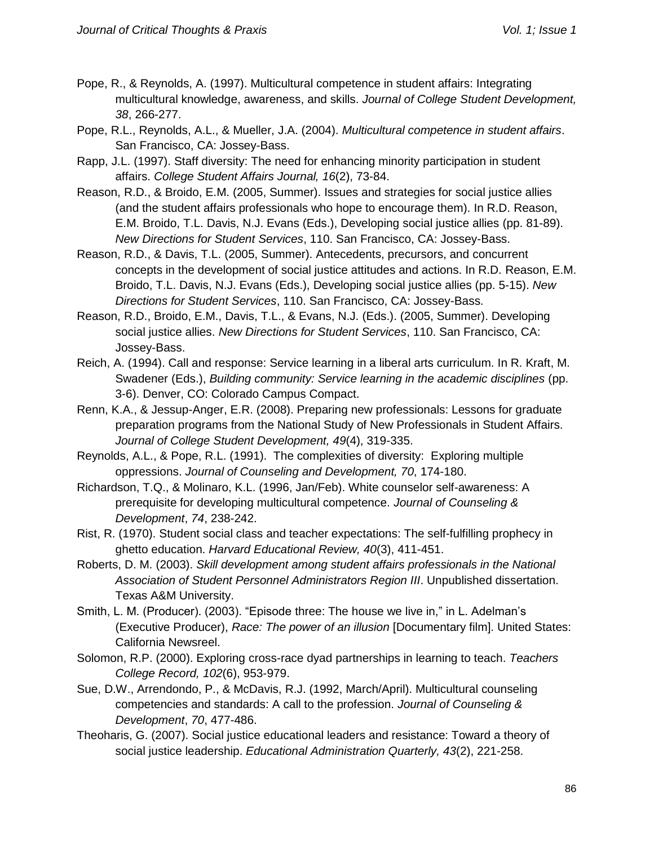- Pope, R., & Reynolds, A. (1997). Multicultural competence in student affairs: Integrating multicultural knowledge, awareness, and skills. *Journal of College Student Development, 38*, 266-277.
- Pope, R.L., Reynolds, A.L., & Mueller, J.A. (2004). *Multicultural competence in student affairs*. San Francisco, CA: Jossey-Bass.
- Rapp, J.L. (1997). Staff diversity: The need for enhancing minority participation in student affairs. *College Student Affairs Journal, 16*(2), 73-84.
- Reason, R.D., & Broido, E.M. (2005, Summer). Issues and strategies for social justice allies (and the student affairs professionals who hope to encourage them). In R.D. Reason, E.M. Broido, T.L. Davis, N.J. Evans (Eds.), Developing social justice allies (pp. 81-89). *New Directions for Student Services*, 110. San Francisco, CA: Jossey-Bass.
- Reason, R.D., & Davis, T.L. (2005, Summer). Antecedents, precursors, and concurrent concepts in the development of social justice attitudes and actions. In R.D. Reason, E.M. Broido, T.L. Davis, N.J. Evans (Eds.), Developing social justice allies (pp. 5-15). *New Directions for Student Services*, 110. San Francisco, CA: Jossey-Bass.
- Reason, R.D., Broido, E.M., Davis, T.L., & Evans, N.J. (Eds.). (2005, Summer). Developing social justice allies. *New Directions for Student Services*, 110. San Francisco, CA: Jossey-Bass.
- Reich, A. (1994). Call and response: Service learning in a liberal arts curriculum. In R. Kraft, M. Swadener (Eds.), *Building community: Service learning in the academic disciplines* (pp. 3-6). Denver, CO: Colorado Campus Compact.
- Renn, K.A., & Jessup-Anger, E.R. (2008). Preparing new professionals: Lessons for graduate preparation programs from the National Study of New Professionals in Student Affairs. *Journal of College Student Development, 49*(4), 319-335.
- Reynolds, A.L., & Pope, R.L. (1991). The complexities of diversity: Exploring multiple oppressions. *Journal of Counseling and Development, 70*, 174-180.
- Richardson, T.Q., & Molinaro, K.L. (1996, Jan/Feb). White counselor self-awareness: A prerequisite for developing multicultural competence. *Journal of Counseling & Development*, *74*, 238-242.
- Rist, R. (1970). Student social class and teacher expectations: The self-fulfilling prophecy in ghetto education. *Harvard Educational Review, 40*(3), 411-451.
- Roberts, D. M. (2003). *Skill development among student affairs professionals in the National Association of Student Personnel Administrators Region III*. Unpublished dissertation. Texas A&M University.
- Smith, L. M. (Producer). (2003). "Episode three: The house we live in," in L. Adelman's (Executive Producer), *Race: The power of an illusion* [Documentary film]. United States: California Newsreel.
- Solomon, R.P. (2000). Exploring cross-race dyad partnerships in learning to teach. *Teachers College Record, 102*(6), 953-979.
- Sue, D.W., Arrendondo, P., & McDavis, R.J. (1992, March/April). Multicultural counseling competencies and standards: A call to the profession. *Journal of Counseling & Development*, *70*, 477-486.
- Theoharis, G. (2007). Social justice educational leaders and resistance: Toward a theory of social justice leadership. *Educational Administration Quarterly, 43*(2), 221-258.